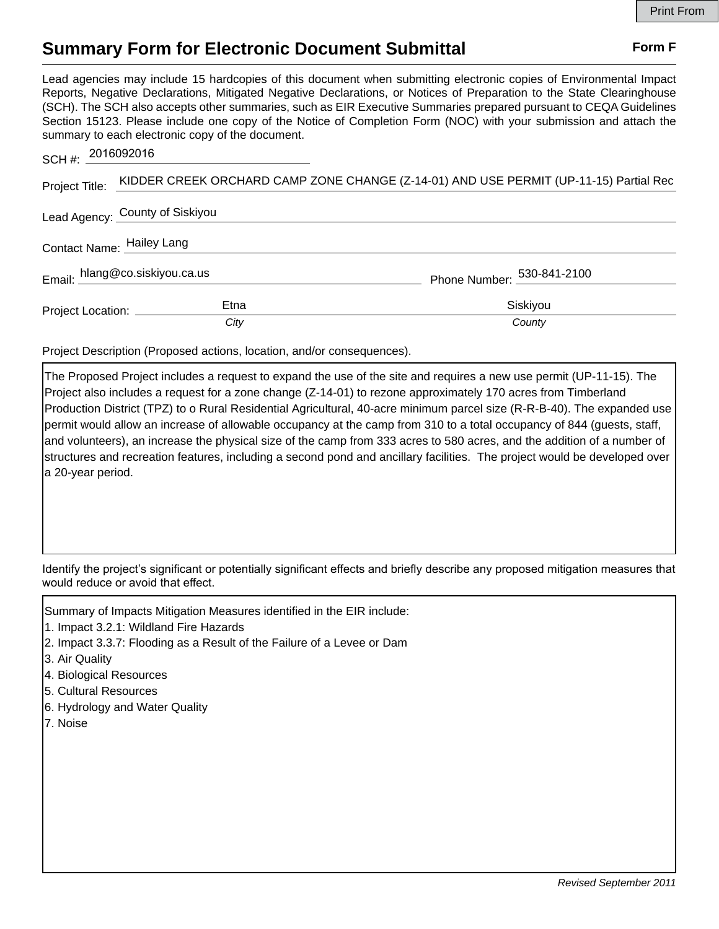## **Summary Form for Electronic Document Submittal Form F Form F**

Lead agencies may include 15 hardcopies of this document when submitting electronic copies of Environmental Impact Reports, Negative Declarations, Mitigated Negative Declarations, or Notices of Preparation to the State Clearinghouse (SCH). The SCH also accepts other summaries, such as EIR Executive Summaries prepared pursuant to CEQA Guidelines Section 15123. Please include one copy of the Notice of Completion Form (NOC) with your submission and attach the summary to each electronic copy of the document.

| SCH#: 2016092016               |                                                                                                      |                            |
|--------------------------------|------------------------------------------------------------------------------------------------------|----------------------------|
|                                | Project Title: KIDDER CREEK ORCHARD CAMP ZONE CHANGE (Z-14-01) AND USE PERMIT (UP-11-15) Partial Rec |                            |
|                                | Lead Agency: County of Siskiyou                                                                      |                            |
| Contact Name: Hailey Lang      |                                                                                                      |                            |
| Email: hlang@co.siskiyou.ca.us |                                                                                                      | Phone Number: 530-841-2100 |
| Project Location: ________     | Etna                                                                                                 | Siskiyou                   |
|                                | City                                                                                                 | County                     |

Project Description (Proposed actions, location, and/or consequences).

The Proposed Project includes a request to expand the use of the site and requires a new use permit (UP-11-15). The Project also includes a request for a zone change (Z-14-01) to rezone approximately 170 acres from Timberland Production District (TPZ) to o Rural Residential Agricultural, 40-acre minimum parcel size (R-R-B-40). The expanded use permit would allow an increase of allowable occupancy at the camp from 310 to a total occupancy of 844 (guests, staff, and volunteers), an increase the physical size of the camp from 333 acres to 580 acres, and the addition of a number of structures and recreation features, including a second pond and ancillary facilities. The project would be developed over a 20-year period.

Identify the project's significant or potentially significant effects and briefly describe any proposed mitigation measures that would reduce or avoid that effect.

Summary of Impacts Mitigation Measures identified in the EIR include:

- 1. Impact 3.2.1: Wildland Fire Hazards
- 2. Impact 3.3.7: Flooding as a Result of the Failure of a Levee or Dam
- 3. Air Quality
- 4. Biological Resources
- 5. Cultural Resources
- 6. Hydrology and Water Quality
- 7. Noise